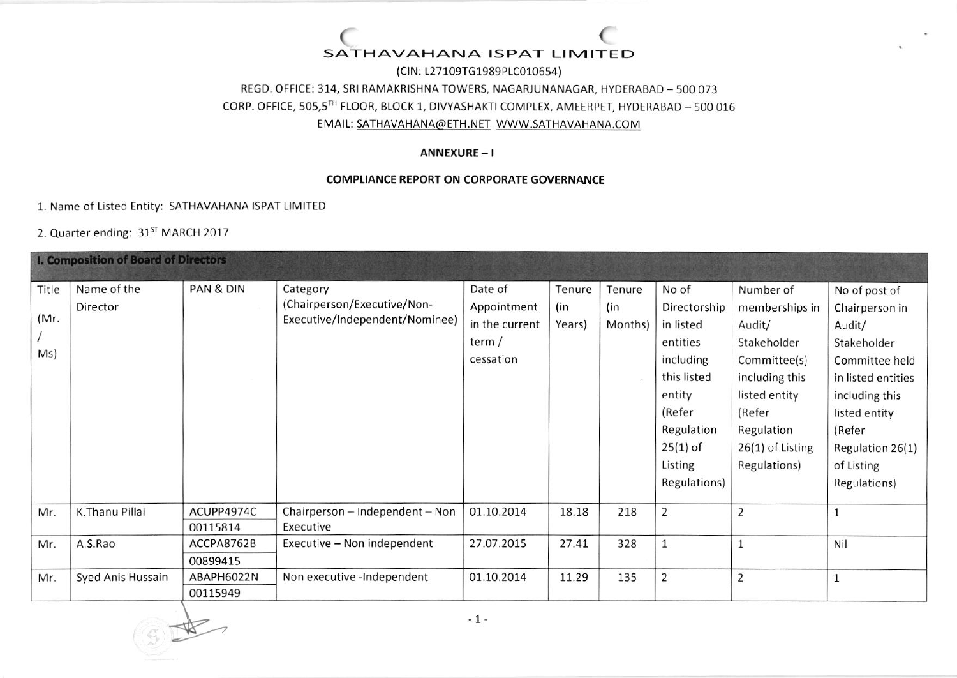### ( SATHAVAHANA ISPAT LIMITED (

(ClN: l-27109TG1989Ptco10654) REGD. OFFICE: 314, SRI RAMAKRISHNA TOWERS, NAGARJUNANAGAR, HYDERABAD - 500 073 CORP. OFFICE, 505,5TH FLOOR, BLOCK 1, DIVYASHAKTI COMPLEX, AMEERPET, HYDERABAD - 500 016 EMAIt: SATHAVAHANA@ETH.NET WWW.SATHAVAHANA.COM

## ANNEXURE - <sup>I</sup>

## COMPLIANCE REPORT ON CORPORATE GOVERNANCE

1, Name of Listed Entity: SATHAVAHANA ISPAT LIMITED

2. Quarter ending: 31<sup>ST</sup> MARCH 2017

| <b>I. Composition of Board of Directors</b> |                   |            |                                 |                |        |         |                |                    |                    |
|---------------------------------------------|-------------------|------------|---------------------------------|----------------|--------|---------|----------------|--------------------|--------------------|
| Title                                       | Name of the       | PAN & DIN  | Category                        | Date of        | Tenure | Tenure  | No of          | Number of          | No of post of      |
|                                             | Director          |            | (Chairperson/Executive/Non-     | Appointment    | (in    | (in     | Directorship   | memberships in     | Chairperson in     |
| (Mr.                                        |                   |            | Executive/independent/Nominee)  | in the current | Years) | Months) | in listed      | Audit/             | Audit/             |
|                                             |                   |            |                                 | term /         |        |         | entities       | Stakeholder        | Stakeholder        |
| Ms)                                         |                   |            |                                 | cessation      |        |         | including      | Committee(s)       | Committee held     |
|                                             |                   |            |                                 |                |        |         | this listed    | including this     | in listed entities |
|                                             |                   |            |                                 |                |        |         | entity         | listed entity      | including this     |
|                                             |                   |            |                                 |                |        |         | (Refer         | (Refer             | listed entity      |
|                                             |                   |            |                                 |                |        |         | Regulation     | Regulation         | (Refer             |
|                                             |                   |            |                                 |                |        |         | $25(1)$ of     | $26(1)$ of Listing | Regulation 26(1)   |
|                                             |                   |            |                                 |                |        |         | Listing        | Regulations)       | of Listing         |
|                                             |                   |            |                                 |                |        |         | Regulations)   |                    | Regulations)       |
| Mr.                                         | K.Thanu Pillai    | ACUPP4974C | Chairperson - Independent - Non | 01.10.2014     | 18.18  | 218     | $\overline{2}$ | $\overline{2}$     | $\mathbf{1}$       |
|                                             |                   | 00115814   | Executive                       |                |        |         |                |                    |                    |
| Mr.                                         | A.S.Rao           | ACCPA8762B | Executive - Non independent     | 27.07.2015     | 27.41  | 328     | $\mathbf{1}$   | $\mathbf{1}$       | Nil                |
|                                             |                   | 00899415   |                                 |                |        |         |                |                    |                    |
| Mr.                                         | Syed Anis Hussain | ABAPH6022N | Non executive -Independent      | 01.10.2014     | 11.29  | 135     | $\overline{2}$ | $\overline{2}$     | $\mathbf 1$        |
|                                             |                   | 00115949   |                                 |                |        |         |                |                    |                    |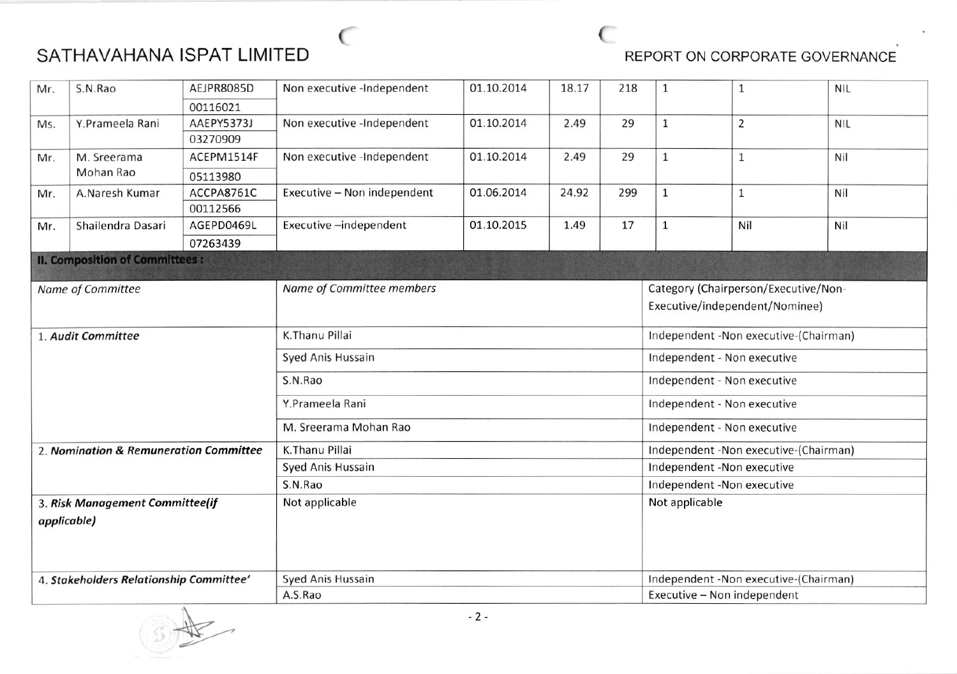

| Mr.                                     | S.N.Rao                               | AEJPR8085D | Non executive -Independent  | 01.10.2014 | 18.17 | 218 | $\mathbf{1}$                           | $\mathbf{1}$   | <b>NIL</b> |
|-----------------------------------------|---------------------------------------|------------|-----------------------------|------------|-------|-----|----------------------------------------|----------------|------------|
|                                         |                                       | 00116021   |                             |            |       |     |                                        |                |            |
| Ms.                                     | Y.Prameela Rani                       | AAEPY5373J | Non executive -Independent  | 01.10.2014 | 2.49  | 29  | $\mathbf{1}$                           | $\overline{2}$ | <b>NIL</b> |
|                                         |                                       | 03270909   |                             |            |       |     |                                        |                |            |
| Mr.                                     | M. Sreerama                           | ACEPM1514F | Non executive -Independent  | 01.10.2014 | 2.49  | 29  | $\mathbf{1}$                           | $\mathbf{1}$   | Nil        |
|                                         | Mohan Rao                             | 05113980   |                             |            |       |     |                                        |                |            |
| Mr.                                     | A.Naresh Kumar                        | ACCPA8761C | Executive - Non independent | 01.06.2014 | 24.92 | 299 | $\mathbf{1}$                           | $\mathbf{1}$   | Nil        |
|                                         |                                       | 00112566   |                             |            |       |     |                                        |                |            |
| Mr.                                     | Shailendra Dasari                     | AGEPD0469L | Executive-independent       | 01.10.2015 | 1.49  | 17  | $\mathbf 1$                            | Nil            | Nil        |
|                                         |                                       | 07263439   |                             |            |       |     |                                        |                |            |
|                                         | <b>II. Composition of Committees:</b> |            |                             |            |       |     |                                        |                |            |
| Name of Committee                       |                                       |            | Name of Committee members   |            |       |     | Category (Chairperson/Executive/Non-   |                |            |
|                                         |                                       |            |                             |            |       |     | Executive/independent/Nominee)         |                |            |
|                                         |                                       |            |                             |            |       |     |                                        |                |            |
|                                         | 1. Audit Committee                    |            | K.Thanu Pillai              |            |       |     | Independent - Non executive-(Chairman) |                |            |
|                                         |                                       |            | Syed Anis Hussain           |            |       |     | Independent - Non executive            |                |            |
|                                         |                                       |            | S.N.Rao                     |            |       |     | Independent - Non executive            |                |            |
|                                         |                                       |            | Y.Prameela Rani             |            |       |     | Independent - Non executive            |                |            |
|                                         |                                       |            | M. Sreerama Mohan Rao       |            |       |     | Independent - Non executive            |                |            |
| 2. Nomination & Remuneration Committee  |                                       |            | K.Thanu Pillai              |            |       |     | Independent -Non executive-(Chairman)  |                |            |
|                                         |                                       |            | Syed Anis Hussain           |            |       |     | Independent -Non executive             |                |            |
|                                         |                                       |            | S.N.Rao                     |            |       |     | Independent -Non executive             |                |            |
| 3. Risk Management Committee(if         |                                       |            | Not applicable              |            |       |     | Not applicable                         |                |            |
| applicable)                             |                                       |            |                             |            |       |     |                                        |                |            |
|                                         |                                       |            |                             |            |       |     |                                        |                |            |
|                                         |                                       |            |                             |            |       |     |                                        |                |            |
|                                         |                                       |            |                             |            |       |     |                                        |                |            |
| 4. Stakeholders Relationship Committee' |                                       |            | Syed Anis Hussain           |            |       |     | Independent -Non executive-(Chairman)  |                |            |
|                                         |                                       |            | A.S.Rao                     |            |       |     | Executive - Non independent            |                |            |

 $\sim$  (

W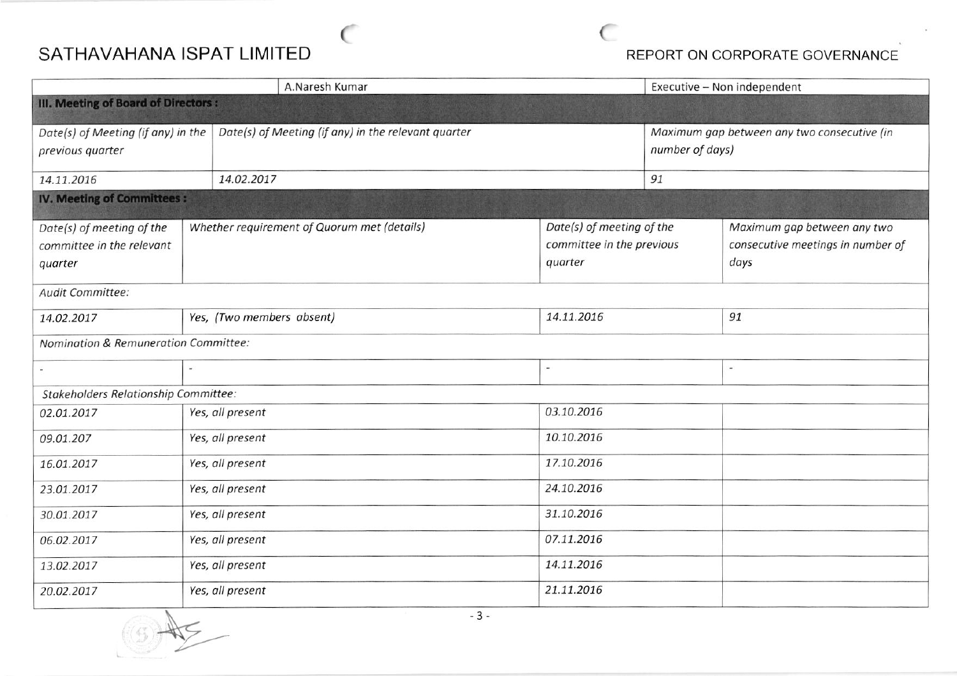## SATHAVAHANA ISPAT LIMITED **Example 20 SEPORT ON CORPORATE GOVERNANCE**

|                                                                   |                  | A.Naresh Kumar                                                                                                   | Executive - Non independent |  |                                                                          |  |  |  |
|-------------------------------------------------------------------|------------------|------------------------------------------------------------------------------------------------------------------|-----------------------------|--|--------------------------------------------------------------------------|--|--|--|
| III. Meeting of Board of Directors :                              |                  |                                                                                                                  |                             |  |                                                                          |  |  |  |
| Date(s) of Meeting (if any) in the<br>previous quarter            |                  | Date(s) of Meeting (if any) in the relevant quarter                                                              |                             |  | Maximum gap between any two consecutive (in<br>number of days)           |  |  |  |
| 14.11.2016                                                        |                  | 14.02.2017                                                                                                       |                             |  | 91                                                                       |  |  |  |
| <b>IV. Meeting of Committees:</b>                                 |                  |                                                                                                                  |                             |  |                                                                          |  |  |  |
| Date(s) of meeting of the<br>committee in the relevant<br>quarter |                  | Date(s) of meeting of the<br>Whether requirement of Quorum met (details)<br>committee in the previous<br>quarter |                             |  | Maximum gap between any two<br>consecutive meetings in number of<br>days |  |  |  |
| Audit Committee:                                                  |                  |                                                                                                                  |                             |  |                                                                          |  |  |  |
| 14.02.2017                                                        |                  | Yes, (Two members absent)                                                                                        | 14.11.2016                  |  | 91                                                                       |  |  |  |
| Nomination & Remuneration Committee:                              |                  |                                                                                                                  |                             |  |                                                                          |  |  |  |
|                                                                   |                  |                                                                                                                  |                             |  | $\overline{\phantom{a}}$                                                 |  |  |  |
| Stakeholders Relationship Committee:                              |                  |                                                                                                                  |                             |  |                                                                          |  |  |  |
| 02.01.2017                                                        | Yes, all present |                                                                                                                  | 03.10.2016                  |  |                                                                          |  |  |  |
| 09.01.207                                                         | Yes, all present |                                                                                                                  | 10.10.2016                  |  |                                                                          |  |  |  |
| 16.01.2017                                                        | Yes, all present |                                                                                                                  | 17.10.2016                  |  |                                                                          |  |  |  |
| 23.01.2017                                                        | Yes, all present |                                                                                                                  | 24.10.2016                  |  |                                                                          |  |  |  |
| 30.01.2017                                                        | Yes, all present |                                                                                                                  | 31.10.2016                  |  |                                                                          |  |  |  |
| Yes, all present<br>06.02.2017                                    |                  |                                                                                                                  | 07.11.2016                  |  |                                                                          |  |  |  |
| Yes, all present<br>13.02.2017                                    |                  |                                                                                                                  | 14.11.2016                  |  |                                                                          |  |  |  |
| Yes, all present<br>20.02.2017                                    |                  | 21.11.2016                                                                                                       |                             |  |                                                                          |  |  |  |

 $\sim$  (

 $\frac{1}{\sqrt{2}}$